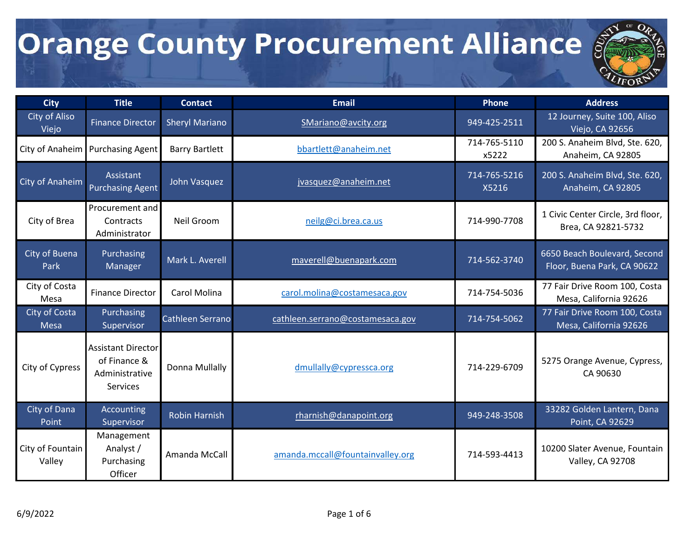

| <b>City</b>                | <b>Title</b>                                                            | <b>Contact</b>        | <b>Email</b>                     | Phone                 | <b>Address</b>                                              |
|----------------------------|-------------------------------------------------------------------------|-----------------------|----------------------------------|-----------------------|-------------------------------------------------------------|
| City of Aliso<br>Viejo     | <b>Finance Director</b>                                                 | <b>Sheryl Mariano</b> | SMariano@avcity.org              | 949-425-2511          | 12 Journey, Suite 100, Aliso<br>Viejo, CA 92656             |
| City of Anaheim            | <b>Purchasing Agent</b>                                                 | <b>Barry Bartlett</b> | bbartlett@anaheim.net            | 714-765-5110<br>x5222 | 200 S. Anaheim Blvd, Ste. 620,<br>Anaheim, CA 92805         |
| City of Anaheim            | Assistant<br><b>Purchasing Agent</b>                                    | John Vasquez          | jvasquez@anaheim.net             | 714-765-5216<br>X5216 | 200 S. Anaheim Blvd, Ste. 620,<br>Anaheim, CA 92805         |
| City of Brea               | Procurement and<br>Contracts<br>Administrator                           | Neil Groom            | neilg@ci.brea.ca.us              | 714-990-7708          | 1 Civic Center Circle, 3rd floor,<br>Brea, CA 92821-5732    |
| City of Buena<br>Park      | Purchasing<br><b>Manager</b>                                            | Mark L. Averell       | maverell@buenapark.com           | 714-562-3740          | 6650 Beach Boulevard, Second<br>Floor, Buena Park, CA 90622 |
| City of Costa<br>Mesa      | <b>Finance Director</b>                                                 | Carol Molina          | carol.molina@costamesaca.gov     | 714-754-5036          | 77 Fair Drive Room 100, Costa<br>Mesa, California 92626     |
| City of Costa<br>Mesa      | Purchasing<br>Supervisor                                                | Cathleen Serrano      | cathleen.serrano@costamesaca.gov | 714-754-5062          | 77 Fair Drive Room 100, Costa<br>Mesa, California 92626     |
| City of Cypress            | <b>Assistant Director</b><br>of Finance &<br>Administrative<br>Services | Donna Mullally        | dmullally@cypressca.org          | 714-229-6709          | 5275 Orange Avenue, Cypress,<br>CA 90630                    |
| City of Dana<br>Point      | Accounting<br>Supervisor                                                | <b>Robin Harnish</b>  | rharnish@danapoint.org           | 949-248-3508          | 33282 Golden Lantern, Dana<br>Point, CA 92629               |
| City of Fountain<br>Valley | Management<br>Analyst /<br>Purchasing<br>Officer                        | Amanda McCall         | amanda.mccall@fountainvalley.org | 714-593-4413          | 10200 Slater Avenue, Fountain<br>Valley, CA 92708           |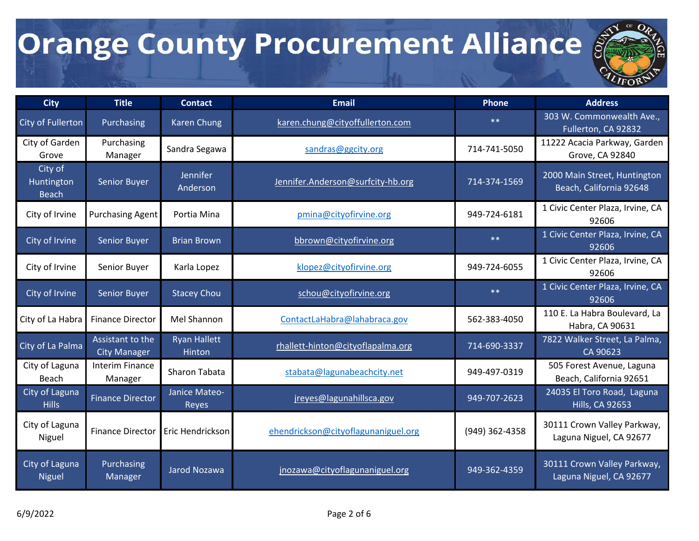

| <b>City</b>                           | <b>Title</b>                            | <b>Contact</b>                | <b>Email</b>                        | <b>Phone</b>   | <b>Address</b>                                          |
|---------------------------------------|-----------------------------------------|-------------------------------|-------------------------------------|----------------|---------------------------------------------------------|
| City of Fullerton                     | Purchasing                              | <b>Karen Chung</b>            | karen.chung@cityoffullerton.com     | $**$           | 303 W. Commonwealth Ave.,<br>Fullerton, CA 92832        |
| City of Garden<br>Grove               | Purchasing<br>Manager                   | Sandra Segawa                 | sandras@ggcity.org                  | 714-741-5050   | 11222 Acacia Parkway, Garden<br>Grove, CA 92840         |
| City of<br>Huntington<br><b>Beach</b> | <b>Senior Buyer</b>                     | Jennifer<br>Anderson          | Jennifer.Anderson@surfcity-hb.org   | 714-374-1569   | 2000 Main Street, Huntington<br>Beach, California 92648 |
| City of Irvine                        | <b>Purchasing Agent</b>                 | Portia Mina                   | pmina@cityofirvine.org              | 949-724-6181   | 1 Civic Center Plaza, Irvine, CA<br>92606               |
| City of Irvine                        | Senior Buyer                            | <b>Brian Brown</b>            | bbrown@cityofirvine.org             | $**$           | 1 Civic Center Plaza, Irvine, CA<br>92606               |
| City of Irvine                        | Senior Buyer                            | Karla Lopez                   | klopez@cityofirvine.org             | 949-724-6055   | 1 Civic Center Plaza, Irvine, CA<br>92606               |
| City of Irvine                        | Senior Buyer                            | <b>Stacey Chou</b>            | schou@cityofirvine.org              | $**$           | 1 Civic Center Plaza, Irvine, CA<br>92606               |
| City of La Habra                      | <b>Finance Director</b>                 | Mel Shannon                   | ContactLaHabra@lahabraca.gov        | 562-383-4050   | 110 E. La Habra Boulevard, La<br>Habra, CA 90631        |
| City of La Palma                      | Assistant to the<br><b>City Manager</b> | <b>Ryan Hallett</b><br>Hinton | rhallett-hinton@cityoflapalma.org   | 714-690-3337   | 7822 Walker Street, La Palma,<br>CA 90623               |
| City of Laguna<br>Beach               | <b>Interim Finance</b><br>Manager       | Sharon Tabata                 | stabata@lagunabeachcity.net         | 949-497-0319   | 505 Forest Avenue, Laguna<br>Beach, California 92651    |
| City of Laguna<br><b>Hills</b>        | <b>Finance Director</b>                 | Janice Mateo-<br>Reyes        | jreyes@lagunahillsca.gov            | 949-707-2623   | 24035 El Toro Road, Laguna<br><b>Hills, CA 92653</b>    |
| City of Laguna<br>Niguel              | <b>Finance Director</b>                 | Eric Hendrickson              | ehendrickson@cityoflagunaniguel.org | (949) 362-4358 | 30111 Crown Valley Parkway,<br>Laguna Niguel, CA 92677  |
| City of Laguna<br><b>Niguel</b>       | Purchasing<br>Manager                   | Jarod Nozawa                  | jnozawa@cityoflagunaniguel.org      | 949-362-4359   | 30111 Crown Valley Parkway,<br>Laguna Niguel, CA 92677  |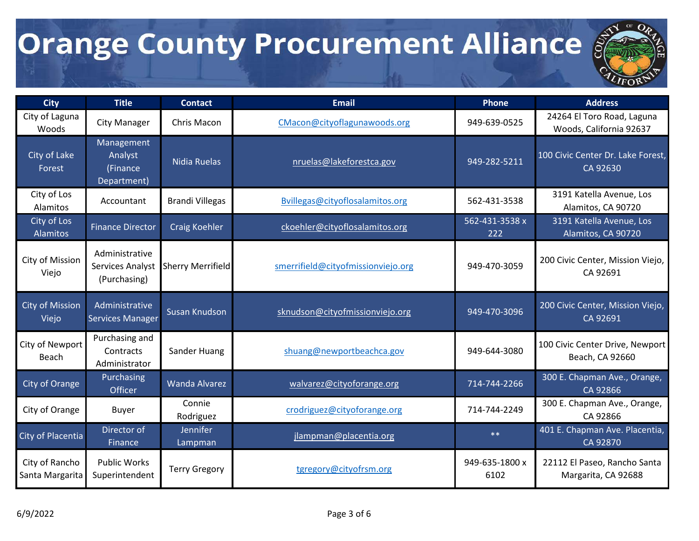

| <b>City</b>                       | <b>Title</b>                                       | <b>Contact</b>           | Email                              | <b>Phone</b>           | <b>Address</b>                                        |
|-----------------------------------|----------------------------------------------------|--------------------------|------------------------------------|------------------------|-------------------------------------------------------|
| City of Laguna<br>Woods           | <b>City Manager</b>                                | Chris Macon              | CMacon@cityoflagunawoods.org       | 949-639-0525           | 24264 El Toro Road, Laguna<br>Woods, California 92637 |
| City of Lake<br>Forest            | Management<br>Analyst<br>(Finance<br>Department)   | Nidia Ruelas             | nruelas@lakeforestca.gov           | 949-282-5211           | 100 Civic Center Dr. Lake Forest,<br>CA 92630         |
| City of Los<br>Alamitos           | Accountant                                         | <b>Brandi Villegas</b>   | Bvillegas@cityoflosalamitos.org    | 562-431-3538           | 3191 Katella Avenue, Los<br>Alamitos, CA 90720        |
| City of Los<br>Alamitos           | <b>Finance Director</b>                            | <b>Craig Koehler</b>     | ckoehler@cityoflosalamitos.org     | 562-431-3538 x<br>222  | 3191 Katella Avenue, Los<br>Alamitos, CA 90720        |
| City of Mission<br>Viejo          | Administrative<br>Services Analyst<br>(Purchasing) | <b>Sherry Merrifield</b> | smerrifield@cityofmissionviejo.org | 949-470-3059           | 200 Civic Center, Mission Viejo,<br>CA 92691          |
| <b>City of Mission</b><br>Viejo   | Administrative<br><b>Services Manager</b>          | Susan Knudson            | sknudson@cityofmissionviejo.org    | 949-470-3096           | 200 Civic Center, Mission Viejo,<br>CA 92691          |
| City of Newport<br>Beach          | Purchasing and<br>Contracts<br>Administrator       | Sander Huang             | shuang@newportbeachca.gov          | 949-644-3080           | 100 Civic Center Drive, Newport<br>Beach, CA 92660    |
| City of Orange                    | Purchasing<br><b>Officer</b>                       | <b>Wanda Alvarez</b>     | walvarez@cityoforange.org          | 714-744-2266           | 300 E. Chapman Ave., Orange,<br>CA 92866              |
| City of Orange                    | Buyer                                              | Connie<br>Rodriguez      | crodriguez@cityoforange.org        | 714-744-2249           | 300 E. Chapman Ave., Orange,<br>CA 92866              |
| City of Placentia                 | Director of<br>Finance                             | Jennifer<br>Lampman      | jlampman@placentia.org             | $**$                   | 401 E. Chapman Ave. Placentia,<br>CA 92870            |
| City of Rancho<br>Santa Margarita | <b>Public Works</b><br>Superintendent              | <b>Terry Gregory</b>     | tgregory@cityofrsm.org             | 949-635-1800 x<br>6102 | 22112 El Paseo, Rancho Santa<br>Margarita, CA 92688   |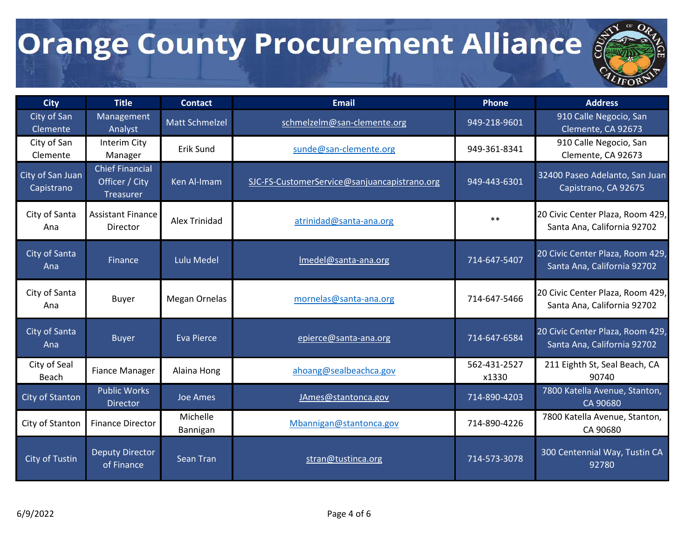

| <b>City</b>                    | <b>Title</b>                                          | <b>Contact</b>        | <b>Email</b>                                 | <b>Phone</b>          | <b>Address</b>                                                  |
|--------------------------------|-------------------------------------------------------|-----------------------|----------------------------------------------|-----------------------|-----------------------------------------------------------------|
| City of San<br>Clemente        | Management<br>Analyst                                 | <b>Matt Schmelzel</b> | schmelzelm@san-clemente.org                  | 949-218-9601          | 910 Calle Negocio, San<br>Clemente, CA 92673                    |
| City of San<br>Clemente        | Interim City<br>Manager                               | Erik Sund             | sunde@san-clemente.org                       | 949-361-8341          | 910 Calle Negocio, San<br>Clemente, CA 92673                    |
| City of San Juan<br>Capistrano | <b>Chief Financial</b><br>Officer / City<br>Treasurer | Ken Al-Imam           | SJC-FS-CustomerService@sanjuancapistrano.org | 949-443-6301          | 32400 Paseo Adelanto, San Juan<br>Capistrano, CA 92675          |
| City of Santa<br>Ana           | <b>Assistant Finance</b><br>Director                  | Alex Trinidad         | atrinidad@santa-ana.org                      | $***$                 | 20 Civic Center Plaza, Room 429,<br>Santa Ana, California 92702 |
| City of Santa<br>Ana           | Finance                                               | <b>Lulu Medel</b>     | Imedel@santa-ana.org                         | 714-647-5407          | 20 Civic Center Plaza, Room 429,<br>Santa Ana, California 92702 |
| City of Santa<br>Ana           | <b>Buyer</b>                                          | <b>Megan Ornelas</b>  | mornelas@santa-ana.org                       | 714-647-5466          | 20 Civic Center Plaza, Room 429,<br>Santa Ana, California 92702 |
| City of Santa<br>Ana           | <b>Buyer</b>                                          | <b>Eva Pierce</b>     | epierce@santa-ana.org                        | 714-647-6584          | 20 Civic Center Plaza, Room 429,<br>Santa Ana, California 92702 |
| City of Seal<br>Beach          | <b>Fiance Manager</b>                                 | Alaina Hong           | ahoang@sealbeachca.gov                       | 562-431-2527<br>x1330 | 211 Eighth St, Seal Beach, CA<br>90740                          |
| City of Stanton                | <b>Public Works</b><br><b>Director</b>                | Joe Ames              | JAmes@stantonca.gov                          | 714-890-4203          | 7800 Katella Avenue, Stanton,<br>CA 90680                       |
| City of Stanton                | <b>Finance Director</b>                               | Michelle<br>Bannigan  | Mbannigan@stantonca.gov                      | 714-890-4226          | 7800 Katella Avenue, Stanton,<br>CA 90680                       |
| City of Tustin                 | <b>Deputy Director</b><br>of Finance                  | <b>Sean Tran</b>      | stran@tustinca.org                           | 714-573-3078          | 300 Centennial Way, Tustin CA<br>92780                          |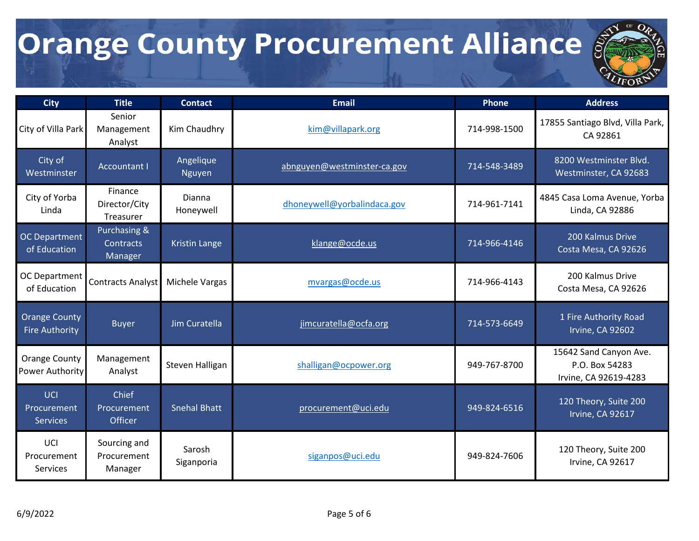

| <b>City</b>                                    | <b>Title</b>                           | <b>Contact</b>       | <b>Email</b>                | Phone        | <b>Address</b>                                                    |
|------------------------------------------------|----------------------------------------|----------------------|-----------------------------|--------------|-------------------------------------------------------------------|
| City of Villa Park                             | Senior<br>Management<br>Analyst        | Kim Chaudhry         | kim@villapark.org           | 714-998-1500 | 17855 Santiago Blvd, Villa Park,<br>CA 92861                      |
| City of<br>Westminster                         | <b>Accountant I</b>                    | Angelique<br>Nguyen  | abnguyen@westminster-ca.gov | 714-548-3489 | 8200 Westminster Blvd.<br>Westminster, CA 92683                   |
| City of Yorba<br>Linda                         | Finance<br>Director/City<br>Treasurer  | Dianna<br>Honeywell  | dhoneywell@yorbalindaca.gov | 714-961-7141 | 4845 Casa Loma Avenue, Yorba<br>Linda, CA 92886                   |
| <b>OC Department</b><br>of Education           | Purchasing &<br>Contracts<br>Manager   | <b>Kristin Lange</b> | klange@ocde.us              | 714-966-4146 | 200 Kalmus Drive<br>Costa Mesa, CA 92626                          |
| OC Department<br>of Education                  | <b>Contracts Analyst</b>               | Michele Vargas       | mvargas@ocde.us             | 714-966-4143 | 200 Kalmus Drive<br>Costa Mesa, CA 92626                          |
| <b>Orange County</b><br><b>Fire Authority</b>  | <b>Buyer</b>                           | Jim Curatella        | jimcuratella@ocfa.org       | 714-573-6649 | 1 Fire Authority Road<br>Irvine, CA 92602                         |
| <b>Orange County</b><br><b>Power Authority</b> | Management<br>Analyst                  | Steven Halligan      | shalligan@ocpower.org       | 949-767-8700 | 15642 Sand Canyon Ave.<br>P.O. Box 54283<br>Irvine, CA 92619-4283 |
| UCI<br>Procurement<br><b>Services</b>          | Chief<br>Procurement<br>Officer        | <b>Snehal Bhatt</b>  | procurement@uci.edu         | 949-824-6516 | 120 Theory, Suite 200<br>Irvine, CA 92617                         |
| UCI<br>Procurement<br><b>Services</b>          | Sourcing and<br>Procurement<br>Manager | Sarosh<br>Siganporia | siganpos@uci.edu            | 949-824-7606 | 120 Theory, Suite 200<br>Irvine, CA 92617                         |